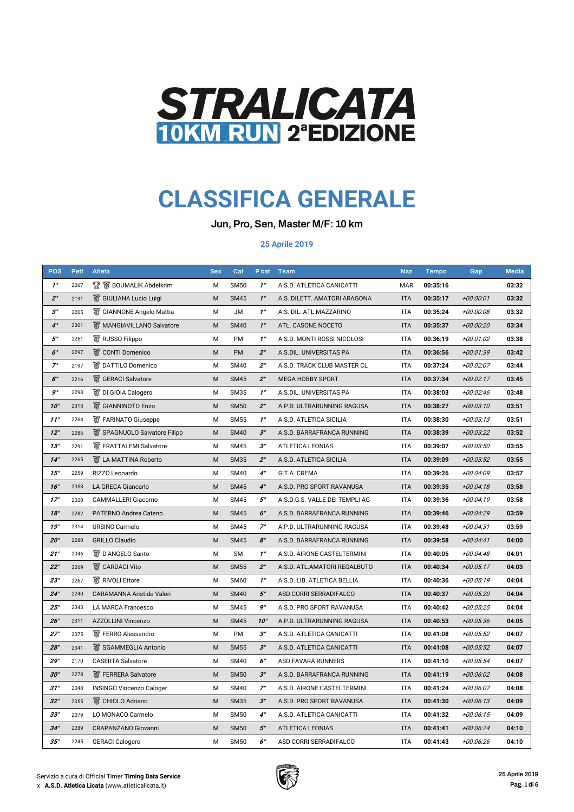| <b>POS</b>            | <b>Pett</b> | <b>Atleta</b>                    | <b>Sex</b> | Cat         | P cat        | <b>Team</b>                    | <b>Naz</b> | <b>Tempo</b> | Gap         | <b>Media</b> |
|-----------------------|-------------|----------------------------------|------------|-------------|--------------|--------------------------------|------------|--------------|-------------|--------------|
| $1^{\circ}$           | 2067        | <b>又 窗 BOUMALIK Abdelkrim</b>    | M          | <b>SM50</b> | $1^{\circ}$  | A.S.D. ATLETICA CANICATTI      | <b>MAR</b> | 00:35:16     |             | 03:32        |
| $2^{\circ}$           | 2191        | S GIULIANA Lucio Luigi           | M          | <b>SM45</b> | $1^\circ$    | A.S. DILETT. AMATORI ARAGONA   | <b>ITA</b> | 00:35:17     | +00:00:01   | 03:32        |
| $3^\circ$             | 2205        | <b>S</b> GIANNONE Angelo Mattia  | M          | <b>JM</b>   | $1^{\circ}$  | A.S. DIL. ATL.MAZZARINO        | <b>ITA</b> | 00:35:24     | +00:00:08   | 03:32        |
| $4^\circ$             | 2301        | <b>W</b> MANGIAVILLANO Salvatore | M          | <b>SM40</b> | $1^\circ$    | ATL. CASONE NOCETO             | <b>ITA</b> | 00:35:37     | +00:00:20   | 03:34        |
| $5^\circ$             | 2261        | <b>&amp; RUSSO Filippo</b>       | M          | PM          | $1^{\circ}$  | A.S.D. MONTI ROSSI NICOLOSI    | <b>ITA</b> | 00:36:19     | +00:01:02   | 03:38        |
| $6^\circ$             | 2297        | <b>&amp; CONTI Domenico</b>      | M          | <b>PM</b>   | $2^{\circ}$  | A.S.DIL. UNIVERSITAS PA        | <b>ITA</b> | 00:36:56     | +00:01:39   | 03:42        |
| $7^\circ$             | 2197        | <b>S</b> DATTILO Domenico        | M          | <b>SM40</b> | $2^{\circ}$  | A.S.D. TRACK CLUB MASTER CL    | <b>ITA</b> | 00:37:24     | +00:02:07   | 03:44        |
| $\mathcal{S}^{\circ}$ | 2216        | <b>图 GERACI Salvatore</b>        | M          | <b>SM45</b> | $2^{\circ}$  | <b>MEGA HOBBY SPORT</b>        | <b>ITA</b> | 00:37:34     | $+00:02:17$ | 03:45        |
| $9^{\circ}$           | 2298        | <b>W</b> DI GIOIA Calogero       | M          | <b>SM35</b> | $1^{\circ}$  | A.S.DIL. UNIVERSITAS PA        | <b>ITA</b> | 00:38:03     | +00:02:46   | 03:48        |
| $10^{\circ}$          | 2313        | <b>图 GIANNINOTO Enzo</b>         | M          | <b>SM50</b> | $2^{\circ}$  | A.P.D. ULTRARUNNING RAGUSA     | <b>ITA</b> | 00:38:27     | +00:03:10   | 03:51        |
| 11°                   | 2264        | <b>W</b> FARINATO Giuseppe       | M          | <b>SM55</b> | $1^{\circ}$  | A.S.D. ATLETICA SICILIA        | <b>ITA</b> | 00:38:30     | +00:03:13   | 03:51        |
| 12°                   | 2286        | SPAGNUOLO Salvatore Filipp       | M          | <b>SM40</b> | $3^\circ$    | A.S.D. BARRAFRANCA RUNNING     | <b>ITA</b> | 00:38:39     | +00:03:22   | 03:52        |
| 13°                   | 2291        | <b>W</b> FRATTALEMI Salvatore    | M          | <b>SM45</b> | $3^\circ$    | <b>ATLETICA LEONIAS</b>        | <b>ITA</b> | 00:39:07     | +00:03:50   | 03:55        |
| $14^\circ$            | 2265        | <b>S</b> LA MATTINA Roberto      | M          | <b>SM35</b> | $2^{\circ}$  | A.S.D. ATLETICA SICILIA        | <b>ITA</b> | 00:39:09     | +00:03:52   | 03:55        |
| 15°                   | 2259        | RIZZO Leonardo                   | M          | <b>SM40</b> | $4^\circ$    | G.T.A. CREMA                   | <b>ITA</b> | 00:39:26     | +00:04:09   | 03:57        |
| 16°                   | 2058        | <b>LA GRECA Giancarlo</b>        | M          | <b>SM45</b> | $4^\circ$    | A.S.D. PRO SPORT RAVANUSA      | <b>ITA</b> | 00:39:35     | $+00.04:18$ | 03:58        |
| $17^\circ$            | 2020        | <b>CAMMALLERI Giacomo</b>        | M          | <b>SM45</b> | $5^\circ$    | A.S.D.G.S. VALLE DEI TEMPLI AG | <b>ITA</b> | 00:39:36     | +00:04:19   | 03:58        |
| 18°                   | 2282        | PATERNO Andrea Cateno            | M          | <b>SM45</b> | $6^\circ$    | A.S.D. BARRAFRANCA RUNNING     | <b>ITA</b> | 00:39:46     | +00:04:29   | 03:59        |
| 19°                   | 2314        | <b>URSINO Carmelo</b>            | M          | <b>SM45</b> | $7^\circ$    | A.P.D. ULTRARUNNING RAGUSA     | <b>ITA</b> | 00:39:48     | +00:04:31   | 03:59        |
| 20°                   | 2280        | <b>GRILLO Claudio</b>            | M          | <b>SM45</b> | $8^\circ$    | A.S.D. BARRAFRANCA RUNNING     | <b>ITA</b> | 00:39:58     | $+00.04:41$ | 04:00        |
| 21°                   | 2046        | <b>■</b> D'ANGELO Santo          | M          | <b>SM</b>   | $1^{\circ}$  | A.S.D. AIRONE CASTELTERMINI    | <b>ITA</b> | 00:40:05     | +00:04:48   | 04:01        |
| $22^{\circ}$          | 2269        | <b>&amp; CARDACI Vito</b>        | M          | <b>SM55</b> | $2^{\circ}$  | A.S.D. ATL.AMATORI REGALBUTO   | <b>ITA</b> | 00:40:34     | $+00.05:17$ | 04:03        |
| 23°                   | 2267        | <b>图 RIVOLI Ettore</b>           | M          | <b>SM60</b> | $1^{\circ}$  | A.S.D. LIB. ATLETICA BELLIA    | <b>ITA</b> | 00:40:36     | +00:05:19   | 04:04        |
| $24^\circ$            | 2240        | <b>CARAMANNA Aristide Valeri</b> | M          | <b>SM40</b> | $5^\circ$    | ASD CORRI SERRADIFALCO         | <b>ITA</b> | 00:40:37     | +00:05:20   | 04:04        |
| $25^\circ$            | 2343        | <b>LA MARCA Francesco</b>        | M          | <b>SM45</b> | $9^\circ$    | A.S.D. PRO SPORT RAVANUSA      | <b>ITA</b> | 00:40:42     | +00:05:25   | 04:04        |
| 26°                   | 2311        | <b>AZZOLLINI Vincenzo</b>        | M          | <b>SM45</b> | $10^{\circ}$ | A.P.D. ULTRARUNNING RAGUSA     | <b>ITA</b> | 00:40:53     | +00:05:36   | 04:05        |
| $27^\circ$            | 2075        | <b>W</b> FERRO Alessandro        | M          | <b>PM</b>   | $3^\circ$    | A.S.D. ATLETICA CANICATTI      | <b>ITA</b> | 00:41:08     | +00:05:52   | 04:07        |
| 28°                   | 2341        | SGAMMEGLIA Antonio               | M          | <b>SM55</b> | $3^\circ$    | A.S.D. ATLETICA CANICATTI      | <b>ITA</b> | 00:41:08     | +00:05:52   | 04:07        |
| 29°                   | 2170        | <b>CASERTA Salvatore</b>         | M          | <b>SM40</b> | $6^{\circ}$  | <b>ASD FAVARA RUNNERS</b>      | <b>ITA</b> | 00:41:10     | +00:05:54   | 04:07        |
| 30°                   | 2278        | <b>W</b> FERRERA Salvatore       | M          | <b>SM50</b> | $3^\circ$    | A.S.D. BARRAFRANCA RUNNING     | <b>ITA</b> | 00:41:19     | +00:06:02   | 04:08        |
| 31°                   | 2048        | <b>INSINGO Vincenzo Caloger</b>  | M          | <b>SM40</b> | $7^\circ$    | A.S.D. AIRONE CASTELTERMINI    | <b>ITA</b> | 00:41:24     | +00:06:07   | 04:08        |
| $32^{\circ}$          | 2055        | <b>图 CHIOLO Adriano</b>          | M          | <b>SM35</b> | $3^\circ$    | A.S.D. PRO SPORT RAVANUSA      | <b>ITA</b> | 00:41:30     | $+00.06:13$ | 04:09        |
| $33^\circ$            | 2079        | LO MONACO Carmelo                | M          | <b>SM50</b> | $4^\circ$    | A.S.D. ATLETICA CANICATTI      | <b>ITA</b> | 00:41:32     | $+00.06:15$ | 04:09        |
| $34^\circ$            | 2289        | <b>CRAPANZANO Giovanni</b>       | M          | <b>SM50</b> | $5^\circ$    | <b>ATLETICA LEONIAS</b>        | <b>ITA</b> | 00:41:41     | +00:06:24   | 04:10        |
| 35°                   | 2245        | <b>GERACI Calogero</b>           | M          | <b>SM50</b> | $6^\circ$    | ASD CORRI SERRADIFALCO         | <b>ITA</b> | 00:41:43     | +00:06:26   | 04:10        |

Jun, Pro, Sen, Master M/F: 10 km

## STRALICATA 10KM RUN 2ªEDIZIONE

## **CLASSIFICA GENERALE**

**25 Aprile 2019**

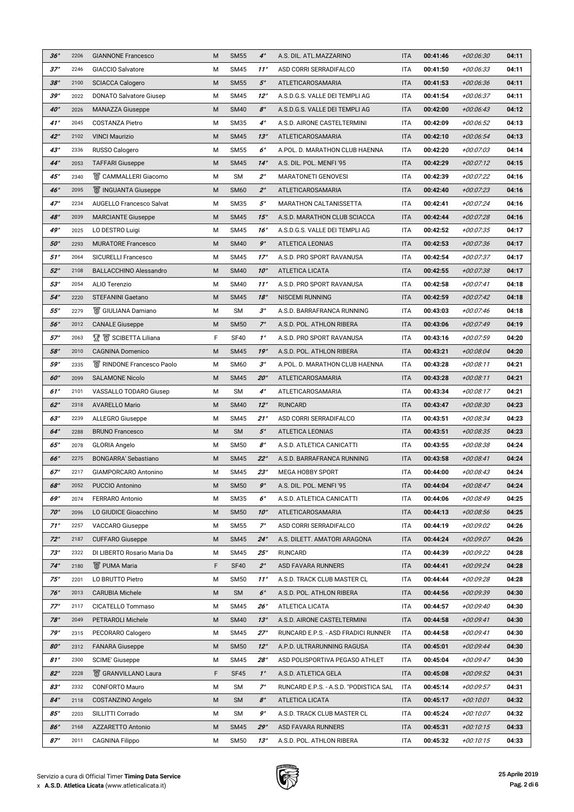| 36°                      | 2206         | <b>GIANNONE Francesco</b>                    | M      | <b>SM55</b>            | $4^\circ$              | A.S. DIL. ATL.MAZZARINO                               | <b>ITA</b>               | 00:41:46             | +00:06:30                | 04:11          |
|--------------------------|--------------|----------------------------------------------|--------|------------------------|------------------------|-------------------------------------------------------|--------------------------|----------------------|--------------------------|----------------|
| $37^\circ$               | 2246         | <b>GIACCIO Salvatore</b>                     | M      | <b>SM45</b>            | $11^\circ$             | ASD CORRI SERRADIFALCO                                | <b>ITA</b>               | 00:41:50             | +00:06:33                | 04:11          |
| 38°                      | 2100         | <b>SCIACCA Calogero</b>                      | M      | <b>SM55</b>            | $5^\circ$              | ATLETICAROSAMARIA                                     | <b>ITA</b>               | 00:41:53             | +00:06:36                | 04:11          |
| 39°                      | 2022         | <b>DONATO Salvatore Giusep</b>               | M      | <b>SM45</b>            | $12^{\circ}$           | A.S.D.G.S. VALLE DEI TEMPLI AG                        | <b>ITA</b>               | 00:41:54             | +00:06:37                | 04:11          |
| $40^\circ$               | 2026         | <b>MANAZZA Giuseppe</b>                      | M      | <b>SM40</b>            | $8^\circ$              | A.S.D.G.S. VALLE DEI TEMPLI AG                        | <b>ITA</b>               | 00:42:00             | $+00:06:43$              | 04:12          |
| 41°                      | 2045         | <b>COSTANZA Pietro</b>                       | M      | <b>SM35</b>            | $4^\circ$              | A.S.D. AIRONE CASTELTERMINI                           | <b>ITA</b>               | 00:42:09             | +00:06:52                | 04:13          |
| $42^\circ$               | 2102         | <b>VINCI Maurizio</b>                        | M      | <b>SM45</b>            | $13^\circ$             | ATLETICAROSAMARIA                                     | <b>ITA</b>               | 00:42:10             | +00:06:54                | 04:13          |
| $43^\circ$               | 2336         | RUSSO Calogero                               | M      | <b>SM55</b>            | $6^\circ$              | A.POL. D. MARATHON CLUB HAENNA                        | <b>ITA</b>               | 00:42:20             | +00:07:03                | 04:14          |
| $44^\circ$               | 2053         | <b>TAFFARI Giuseppe</b>                      | M      | <b>SM45</b>            | $14^\circ$             | A.S. DIL. POL. MENFI '95                              | <b>ITA</b>               | 00:42:29             | $+00:07:12$              | 04:15          |
| $45^\circ$               | 2340         | <b>&amp; CAMMALLERI Giacomo</b>              | М      | <b>SM</b>              | $2^{\circ}$            | <b>MARATONETI GENOVESI</b>                            | <b>ITA</b>               | 00:42:39             | +00:07:22                | 04:16          |
| 46°                      | 2095         | <b>W</b> INGUANTA Giuseppe                   | M      | <b>SM60</b>            | $2^{\circ}$            | ATLETICAROSAMARIA                                     | <b>ITA</b>               | 00:42:40             | +00:07:23                | 04:16          |
| $47^\circ$               | 2234         | <b>AUGELLO Francesco Salvat</b>              | M      | <b>SM35</b>            | $5^\circ$              | <b>MARATHON CALTANISSETTA</b>                         | <b>ITA</b>               | 00:42:41             | +00:07:24                | 04:16          |
| 48°                      | 2039         | <b>MARCIANTE Giuseppe</b>                    | M      | <b>SM45</b>            | 15°                    | A.S.D. MARATHON CLUB SCIACCA                          | <b>ITA</b>               | 00:42:44             | +00:07:28                | 04:16          |
| 49°                      | 2025         | LO DESTRO Luigi                              | M      | <b>SM45</b>            | 16°                    | A.S.D.G.S. VALLE DEI TEMPLI AG                        | <b>ITA</b>               | 00:42:52             | +00:07:35                | 04:17          |
| 50°                      | 2293         | <b>MURATORE Francesco</b>                    | M      | <b>SM40</b>            | $9^\circ$              | <b>ATLETICA LEONIAS</b>                               | <b>ITA</b>               | 00:42:53             | +00:07:36                | 04:17          |
| 51°                      | 2064         | <b>SICURELLI Francesco</b>                   | M      | <b>SM45</b>            | $17^\circ$             | A.S.D. PRO SPORT RAVANUSA                             | <b>ITA</b>               | 00:42:54             | +00:07:37                | 04:17          |
| $52^{\circ}$             | 2108         | <b>BALLACCHINO Alessandro</b>                | M      | <b>SM40</b>            | $10^{\circ}$           | <b>ATLETICA LICATA</b>                                | <b>ITA</b>               | 00:42:55             | +00:07:38                | 04:17          |
| 53°                      | 2054         | <b>ALIO Terenzio</b>                         | M      | <b>SM40</b>            | $11^{\circ}$           | A.S.D. PRO SPORT RAVANUSA                             | <b>ITA</b>               | 00:42:58             | +00:07:41                | 04:18          |
| $54^\circ$               | 2220         | <b>STEFANINI Gaetano</b>                     | M      | <b>SM45</b>            | 18°                    | <b>NISCEMI RUNNING</b>                                | <b>ITA</b>               | 00:42:59             | +00:07:42                | 04:18          |
| 55°                      | 2279         | S GIULIANA Damiano                           | M      | <b>SM</b>              | $3^\circ$              | A.S.D. BARRAFRANCA RUNNING                            | <b>ITA</b>               | 00:43:03             | $+00:07:46$              | 04:18          |
| 56°                      | 2012         | <b>CANALE Giuseppe</b>                       | M      | <b>SM50</b>            | $7^\circ$              | A.S.D. POL. ATHLON RIBERA                             | <b>ITA</b>               | 00:43:06             | +00:07:49                | 04:19          |
| $57^\circ$               | 2063         | $\mathbb{R}$ $\mathbb{S}$ SCIBETTA Liliana   | F      | <b>SF40</b>            | $1^{\circ}$            | A.S.D. PRO SPORT RAVANUSA                             | <b>ITA</b>               | 00:43:16             | +00:07:59                | 04:20          |
| 58°                      | 2010         | <b>CAGNINA Domenico</b>                      | M      | <b>SM45</b>            | 19°                    | A.S.D. POL. ATHLON RIBERA                             | <b>ITA</b>               | 00:43:21             | +00:08:04                | 04:20          |
| 59°                      | 2335         | <b>W</b> RINDONE Francesco Paolo             | M      | <b>SM60</b>            | $3^\circ$              | A.POL. D. MARATHON CLUB HAENNA                        | <b>ITA</b>               | 00:43:28             | $+00:08:11$              | 04:21          |
| $60^\circ$               | 2099         | <b>SALAMONE Nicolo</b>                       | M      | <b>SM45</b>            | $20^\circ$             | ATLETICAROSAMARIA                                     | <b>ITA</b>               | 00:43:28             | $+00:08:11$              | 04:21          |
| $61^\circ$               | 2101         | <b>VASSALLO TODARO Giusep</b>                | М      | <b>SM</b>              | $4^\circ$              | ATLETICAROSAMARIA                                     | <b>ITA</b>               | 00:43:34             | $+00:08:17$              | 04:21          |
| $62^\circ$               | 2318         | <b>AVARELLO Mario</b>                        | M      | <b>SM40</b>            | $12^\circ$             | <b>RUNCARD</b>                                        | <b>ITA</b>               | 00:43:47             | +00:08:30                | 04:23          |
| $63^\circ$               | 2239         | <b>ALLEGRO Giuseppe</b>                      | M      | <b>SM45</b>            | $21^\circ$             | ASD CORRI SERRADIFALCO                                | <b>ITA</b>               | 00:43:51             | +00:08:34                | 04:23          |
| $64^\circ$               | 2288         | <b>BRUNO Francesco</b>                       | M      | <b>SM</b>              | $5^\circ$              | <b>ATLETICA LEONIAS</b>                               | <b>ITA</b>               | 00:43:51             | +00:08:35                | 04:23          |
| $65^\circ$               | 2078         | <b>GLORIA Angelo</b>                         | M      | <b>SM50</b>            | $\mathcal{S}^{\circ}$  | A.S.D. ATLETICA CANICATTI                             | <b>ITA</b>               | 00:43:55             | +00:08:38                | 04:24          |
| 66°                      | 2275         | <b>BONGARRA' Sebastiano</b>                  | M      | <b>SM45</b>            | $22^\circ$             | A.S.D. BARRAFRANCA RUNNING                            | <b>ITA</b>               | 00:43:58             | +00:08:41                | 04:24          |
| $67^\circ$               | 2217         | <b>GIAMPORCARO Antonino</b>                  | M      | <b>SM45</b>            | $23^\circ$             | <b>MEGA HOBBY SPORT</b>                               | <b>ITA</b>               | 00:44:00             | +00:08:43                | 04:24          |
| 68°                      | 2052         | <b>PUCCIO Antonino</b>                       | M      | <b>SM50</b>            | $9^\circ$              | A.S. DIL. POL. MENFI '95                              | <b>ITA</b>               | 00:44:04             | +00:08:47                | 04:24          |
| 69°                      | 2074         | <b>FERRARO Antonio</b>                       | M      | <b>SM35</b>            | $6^\circ$              | A.S.D. ATLETICA CANICATTI                             | <b>ITA</b>               | 00:44:06             | +00:08:49                | 04:25          |
| $70^\circ$               | 2096         | LO GIUDICE Gioacchino                        | M      | <b>SM50</b>            | $10^{\circ}$           | ATLETICAROSAMARIA                                     | <b>ITA</b>               | 00:44:13             | +00:08:56                | 04:25          |
| $71^\circ$               | 2257         | <b>VACCARO Giuseppe</b>                      | M      | <b>SM55</b>            | $7^\circ$              | ASD CORRI SERRADIFALCO                                | <b>ITA</b>               | 00:44:19             | +00:09:02                | 04:26          |
| $72^\circ$               | 2187         | <b>CUFFARO Giuseppe</b>                      | M      | <b>SM45</b>            | $24^\circ$             | A.S. DILETT. AMATORI ARAGONA                          | <b>ITA</b>               | 00:44:24             | +00:09:07                | 04:26          |
| $73^\circ$               | 2322         | DI LIBERTO Rosario Maria Da                  | M      | <b>SM45</b>            | $25^\circ$             | <b>RUNCARD</b>                                        | <b>ITA</b>               | 00:44:39             | +00:09:22                | 04:28          |
| $74^\circ$               | 2180         | <b>图 PUMA Maria</b>                          | F      | <b>SF40</b>            | $2^{\circ}$            | <b>ASD FAVARA RUNNERS</b>                             | <b>ITA</b>               | 00:44:41             | +00:09:24                | 04:28          |
| $75^\circ$               | 2201         | LO BRUTTO Pietro                             | М      | <b>SM50</b>            | $11^\circ$             | A.S.D. TRACK CLUB MASTER CL                           | <b>ITA</b>               | 00:44:44             | +00:09:28                | 04:28          |
| $76^\circ$               | 2013         | <b>CARUBIA Michele</b>                       | M      | <b>SM</b>              | $6^\circ$              | A.S.D. POL. ATHLON RIBERA                             | <b>ITA</b>               | 00:44:56             | +00:09:39                | 04:30          |
| $77^\circ$               | 2117         | <b>CICATELLO Tommaso</b>                     | М      | <b>SM45</b>            | 26°                    | <b>ATLETICA LICATA</b>                                | <b>ITA</b>               | 00:44:57             | +00:09:40                | 04:30          |
| $78^\circ$               | 2049         | <b>PETRAROLI Michele</b>                     | M      | <b>SM40</b>            | $13^\circ$             | A.S.D. AIRONE CASTELTERMINI                           | <b>ITA</b>               | 00:44:58             | +00:09:41                | 04:30          |
| $79^\circ$               | 2315         | PECORARO Calogero                            | М      | <b>SM45</b>            | $27^\circ$             | RUNCARD E.P.S. - ASD FRADICI RUNNER                   | <b>ITA</b>               | 00:44:58             | +00:09:41                | 04:30          |
| $80^\circ$               | 2312         | <b>FANARA Giuseppe</b>                       | M      | <b>SM50</b>            | $12^{\circ}$           | A.P.D. ULTRARUNNING RAGUSA                            | <b>ITA</b>               | 00:45:01             | +00:09:44                | 04:30          |
| 81°                      | 2300         | <b>SCIME' Giuseppe</b>                       | М      | <b>SM45</b>            | 28°                    | ASD POLISPORTIVA PEGASO ATHLET                        | <b>ITA</b>               | 00:45:04             | +00:09:47                | 04:30          |
| $82^\circ$               | 2228         | <b>&amp; GRANVILLANO Laura</b>               | F      | <b>SF45</b>            | $1^{\circ}$            | A.S.D. ATLETICA GELA                                  | <b>ITA</b>               | 00:45:08             | +00:09:52                | 04:31          |
| $83^\circ$               | 2332         | <b>CONFORTO Mauro</b>                        | M      | <b>SM</b>              | $7^\circ$              | RUNCARD E.P.S. - A.S.D. "PODISTICA SAL                | <b>ITA</b>               | 00:45:14<br>00:45:17 | +00:09:57                | 04:31          |
| $84^\circ$<br>$85^\circ$ | 2118         | <b>COSTANZINO Angelo</b><br>SILLITTI Corrado | M      | <b>SM</b><br><b>SM</b> | $8^\circ$<br>$9^\circ$ | <b>ATLETICA LICATA</b><br>A.S.D. TRACK CLUB MASTER CL | <b>ITA</b>               |                      | +00:10:01                | 04:32          |
| 86°                      | 2203<br>2168 | <b>AZZARETTO Antonio</b>                     | M<br>M | <b>SM45</b>            | 29°                    | <b>ASD FAVARA RUNNERS</b>                             | <b>ITA</b><br><b>ITA</b> | 00:45:24<br>00:45:31 | +00:10:07<br>$+00:10:15$ | 04:32<br>04:33 |
| $87^\circ$               | 2011         | <b>CAGNINA Filippo</b>                       | M      | <b>SM50</b>            | 13°                    | A.S.D. POL. ATHLON RIBERA                             | <b>ITA</b>               | 00:45:32             | $+00:10:15$              | 04:33          |
|                          |              |                                              |        |                        |                        |                                                       |                          |                      |                          |                |

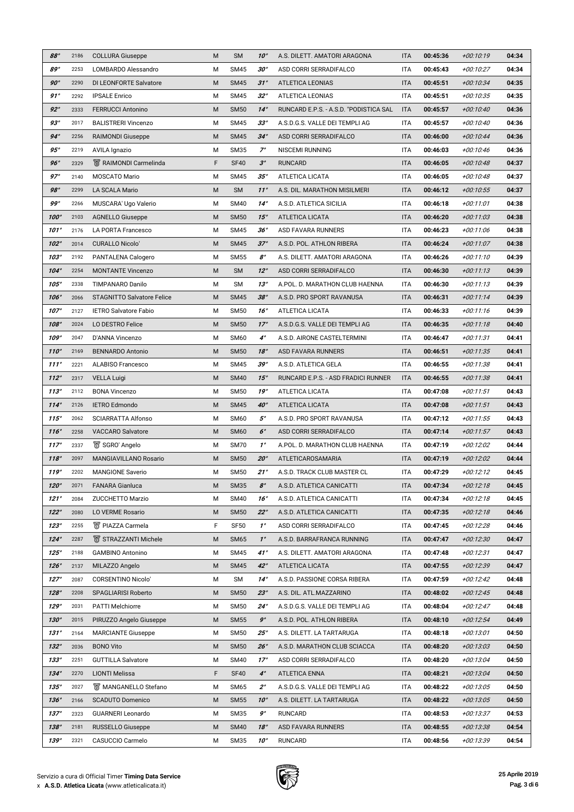| 88°         | 2186 | <b>COLLURA Giuseppe</b>           | M | <b>SM</b>   | $10^{\circ}$          | A.S. DILETT. AMATORI ARAGONA           | <b>ITA</b> | 00:45:36 | $+00:10:19$ | 04:34 |
|-------------|------|-----------------------------------|---|-------------|-----------------------|----------------------------------------|------------|----------|-------------|-------|
| 89°         | 2253 | <b>LOMBARDO Alessandro</b>        | M | <b>SM45</b> | 30°                   | ASD CORRI SERRADIFALCO                 | <b>ITA</b> | 00:45:43 | +00:10:27   | 04:34 |
| 90°         | 2290 | <b>DI LEONFORTE Salvatore</b>     | M | <b>SM45</b> | $31^\circ$            | <b>ATLETICA LEONIAS</b>                | <b>ITA</b> | 00:45:51 | $+00:10:34$ | 04:35 |
| 91°         | 2292 | <b>IPSALE Enrico</b>              | M | <b>SM45</b> | $32^{\circ}$          | <b>ATLETICA LEONIAS</b>                | <b>ITA</b> | 00:45:51 | +00:10:35   | 04:35 |
| 92°         | 2333 | <b>FERRUCCI Antonino</b>          | M | <b>SM50</b> | $14^\circ$            | RUNCARD E.P.S. - A.S.D. "PODISTICA SAL | <b>ITA</b> | 00:45:57 | +00:10:40   | 04:36 |
| 93°         | 2017 | <b>BALISTRERI Vincenzo</b>        | M | <b>SM45</b> | $33^\circ$            | A.S.D.G.S. VALLE DEI TEMPLI AG         | <b>ITA</b> | 00:45:57 | +00:10:40   | 04:36 |
| $94^\circ$  | 2256 | <b>RAIMONDI Giuseppe</b>          | M | <b>SM45</b> | $34^\circ$            | ASD CORRI SERRADIFALCO                 | <b>ITA</b> | 00:46:00 | $+00:10:44$ | 04:36 |
| 95°         | 2219 | <b>AVILA Ignazio</b>              | M | <b>SM35</b> | $7^\circ$             | <b>NISCEMI RUNNING</b>                 | <b>ITA</b> | 00:46:03 | +00:10:46   | 04:36 |
| 96°         | 2329 | <b>W</b> RAIMONDI Carmelinda      | F | <b>SF40</b> | $3^\circ$             | <b>RUNCARD</b>                         | <b>ITA</b> | 00:46:05 | +00:10:48   | 04:37 |
| $97^\circ$  | 2140 | <b>MOSCATO Mario</b>              | M | <b>SM45</b> | $35^\circ$            | <b>ATLETICA LICATA</b>                 | <b>ITA</b> | 00:46:05 | +00:10:48   | 04:37 |
| 98°         | 2299 | <b>LA SCALA Mario</b>             | M | <b>SM</b>   | $11^\circ$            | A.S. DIL. MARATHON MISILMERI           | <b>ITA</b> | 00:46:12 | +00:10:55   | 04:37 |
| 99°         | 2266 | MUSCARA' Ugo Valerio              | M | <b>SM40</b> | $14^\circ$            | A.S.D. ATLETICA SICILIA                | <b>ITA</b> | 00:46:18 | $+00:11:01$ | 04:38 |
| 100°        | 2103 | <b>AGNELLO Giuseppe</b>           | M | <b>SM50</b> | 15°                   | <b>ATLETICA LICATA</b>                 | <b>ITA</b> | 00:46:20 | $+00:11:03$ | 04:38 |
| 101°        | 2176 | <b>LA PORTA Francesco</b>         | M | <b>SM45</b> | 36°                   | <b>ASD FAVARA RUNNERS</b>              | <b>ITA</b> | 00:46:23 | $+00:11:06$ | 04:38 |
| 102°        | 2014 | <b>CURALLO Nicolo'</b>            | M | <b>SM45</b> | $37^\circ$            | A.S.D. POL. ATHLON RIBERA              | <b>ITA</b> | 00:46:24 | $+00:11:07$ | 04:38 |
| 103°        | 2192 | PANTALENA Calogero                | M | <b>SM55</b> | $\mathcal{S}^{\circ}$ | A.S. DILETT. AMATORI ARAGONA           | <b>ITA</b> | 00:46:26 | $+00:11:10$ | 04:39 |
| $104^\circ$ | 2254 | <b>MONTANTE Vincenzo</b>          | M | <b>SM</b>   | $12^\circ$            | ASD CORRI SERRADIFALCO                 | <b>ITA</b> | 00:46:30 | $+00:11:13$ | 04:39 |
| 105°        | 2338 | <b>TIMPANARO Danilo</b>           | M | <b>SM</b>   | $13^\circ$            | A.POL. D. MARATHON CLUB HAENNA         | <b>ITA</b> | 00:46:30 | $+00:11:13$ | 04:39 |
| 106°        | 2066 | <b>STAGNITTO Salvatore Felice</b> | M | <b>SM45</b> | 38°                   | A.S.D. PRO SPORT RAVANUSA              | <b>ITA</b> | 00:46:31 | $+00:11:14$ | 04:39 |
| $107^\circ$ | 2127 | <b>IETRO Salvatore Fabio</b>      | м | <b>SM50</b> | 16°                   | <b>ATLETICA LICATA</b>                 | <b>ITA</b> | 00:46:33 | $+00:11:16$ | 04:39 |
| 108°        | 2024 | LO DESTRO Felice                  | M | <b>SM50</b> | $17^\circ$            | A.S.D.G.S. VALLE DEI TEMPLI AG         | <b>ITA</b> | 00:46:35 | $+00:11:18$ | 04:40 |
| 109°        | 2047 | D'ANNA Vincenzo                   | M | <b>SM60</b> | $4^\circ$             | A.S.D. AIRONE CASTELTERMINI            | <b>ITA</b> | 00:46:47 | $+00:11:31$ | 04:41 |
| 110°        | 2169 | <b>BENNARDO Antonio</b>           | M | <b>SM50</b> | 18°                   | <b>ASD FAVARA RUNNERS</b>              | <b>ITA</b> | 00:46:51 | $+00:11:35$ | 04:41 |
| 111°        | 2221 | <b>ALABISO Francesco</b>          | M | <b>SM45</b> | 39°                   | A.S.D. ATLETICA GELA                   | <b>ITA</b> | 00:46:55 | +00:11:38   | 04:41 |
| 112°        | 2317 | <b>VELLA Luigi</b>                | M | <b>SM40</b> | $15^\circ$            | RUNCARD E.P.S. - ASD FRADICI RUNNER    | <b>ITA</b> | 00:46:55 | $+00:11:38$ | 04:41 |
| 113°        | 2112 | <b>BONA Vincenzo</b>              | M | <b>SM50</b> | 19°                   | <b>ATLETICA LICATA</b>                 | <b>ITA</b> | 00:47:08 | $+00:11:51$ | 04:43 |
| $114^\circ$ | 2126 | <b>IETRO Edmondo</b>              | M | <b>SM45</b> | $40^\circ$            | <b>ATLETICA LICATA</b>                 | <b>ITA</b> | 00:47:08 | $+00:11:51$ | 04:43 |
| 115°        | 2062 | <b>SCIARRATTA Alfonso</b>         | M | <b>SM60</b> | $5^\circ$             | A.S.D. PRO SPORT RAVANUSA              | <b>ITA</b> | 00:47:12 | $+00:11:55$ | 04:43 |
| 116°        | 2258 | <b>VACCARO Salvatore</b>          | M | <b>SM60</b> | $6^\circ$             | ASD CORRI SERRADIFALCO                 | <b>ITA</b> | 00:47:14 | $+00:11:57$ | 04:43 |
| $117^\circ$ | 2337 | SGRO' Angelo                      | M | <b>SM70</b> | $1^{\circ}$           | A.POL. D. MARATHON CLUB HAENNA         | <b>ITA</b> | 00:47:19 | +00:12:02   | 04:44 |
| 118°        | 2097 | <b>MANGIAVILLANO Rosario</b>      | M | <b>SM50</b> | $20^\circ$            | ATLETICAROSAMARIA                      | <b>ITA</b> | 00:47:19 | +00:12:02   | 04:44 |
| 119°        | 2202 | <b>MANGIONE Saverio</b>           | M | <b>SM50</b> | $21^\circ$            | A.S.D. TRACK CLUB MASTER CL            | <b>ITA</b> | 00:47:29 | $+00:12:12$ | 04:45 |
| $120^\circ$ | 2071 | <b>FANARA Gianluca</b>            | M | <b>SM35</b> | $8^\circ$             | A.S.D. ATLETICA CANICATTI              | <b>ITA</b> | 00:47:34 | $+00:12:18$ | 04:45 |
| 121°        | 2084 | <b>ZUCCHETTO Marzio</b>           | M | <b>SM40</b> | 16°                   | A.S.D. ATLETICA CANICATTI              | <b>ITA</b> | 00:47:34 | $+00:12:18$ | 04:45 |
| $122^\circ$ | 2080 | <b>LO VERME Rosario</b>           | M | <b>SM50</b> | $22^\circ$            | A.S.D. ATLETICA CANICATTI              | <b>ITA</b> | 00:47:35 | $+00:12:18$ | 04:46 |
| 123°        | 2255 | <b>W</b> PIAZZA Carmela           | F | <b>SF50</b> | $1^{\circ}$           | ASD CORRI SERRADIFALCO                 | <b>ITA</b> | 00:47:45 | +00:12:28   | 04:46 |
| $124^\circ$ | 2287 | STRAZZANTI Michele                | M | <b>SM65</b> | $1^{\circ}$           | A.S.D. BARRAFRANCA RUNNING             | <b>ITA</b> | 00:47:47 | +00:12:30   | 04:47 |
| $125^\circ$ | 2188 | <b>GAMBINO Antonino</b>           | M | <b>SM45</b> | $41^\circ$            | A.S. DILETT. AMATORI ARAGONA           | <b>ITA</b> | 00:47:48 | +00:12:31   | 04:47 |
| 126°        | 2137 | MILAZZO Angelo                    | M | <b>SM45</b> | $42^\circ$            | <b>ATLETICA LICATA</b>                 | <b>ITA</b> | 00:47:55 | $+00:12:39$ | 04:47 |
| $127^\circ$ | 2087 | <b>CORSENTINO Nicolo'</b>         | M | <b>SM</b>   | $14^\circ$            | A.S.D. PASSIONE CORSA RIBERA           | <b>ITA</b> | 00:47:59 | $+00:12:42$ | 04:48 |
| 128°        | 2208 | <b>SPAGLIARISI Roberto</b>        | M | <b>SM50</b> | $23^\circ$            | A.S. DIL. ATL.MAZZARINO                | <b>ITA</b> | 00:48:02 | $+00:12:45$ | 04:48 |
| 129°        | 2031 | <b>PATTI Melchiorre</b>           | M | <b>SM50</b> | $24^\circ$            | A.S.D.G.S. VALLE DEI TEMPLI AG         | <b>ITA</b> | 00:48:04 | +00:12:47   | 04:48 |
| $130^\circ$ | 2015 | PIRUZZO Angelo Giuseppe           | M | <b>SM55</b> | $9^\circ$             | A.S.D. POL. ATHLON RIBERA              | <b>ITA</b> | 00:48:10 | $+00:12:54$ | 04:49 |
| 131°        | 2164 | <b>MARCIANTE Giuseppe</b>         | M | <b>SM50</b> | $25^\circ$            | A.S. DILETT. LA TARTARUGA              | <b>ITA</b> | 00:48:18 | +00:13:01   | 04:50 |
| 132°        | 2036 | <b>BONO Vito</b>                  | M | <b>SM50</b> | $26^\circ$            | A.S.D. MARATHON CLUB SCIACCA           | <b>ITA</b> | 00:48:20 | +00:13:03   | 04:50 |
| 133°        | 2251 | <b>GUTTILLA Salvatore</b>         | M | <b>SM40</b> | $17^\circ$            | ASD CORRI SERRADIFALCO                 | <b>ITA</b> | 00:48:20 | +00:13:04   | 04:50 |
| $134^\circ$ | 2270 | <b>LIONTI Melissa</b>             | F | <b>SF40</b> | $4^\circ$             | <b>ATLETICA ENNA</b>                   | <b>ITA</b> | 00:48:21 | $+00:13:04$ | 04:50 |
| 135°        | 2027 | <b>W</b> MANGANELLO Stefano       | M | <b>SM65</b> | $2^{\circ}$           | A.S.D.G.S. VALLE DEI TEMPLI AG         | <b>ITA</b> | 00:48:22 | +00:13:05   | 04:50 |
| 136°        | 2166 | <b>SCADUTO Domenico</b>           | M | <b>SM55</b> | $10^{\circ}$          | A.S. DILETT. LA TARTARUGA              | <b>ITA</b> | 00:48:22 | +00:13:05   | 04:50 |
| $137^\circ$ | 2323 | <b>GUARNERI Leonardo</b>          | M | <b>SM35</b> | $9^\circ$             | <b>RUNCARD</b>                         | <b>ITA</b> | 00:48:53 | +00:13:37   | 04:53 |
| 138°        | 2181 | <b>RUSSELLO Giuseppe</b>          | M | <b>SM40</b> | 18°                   | <b>ASD FAVARA RUNNERS</b>              | <b>ITA</b> | 00:48:55 | +00:13:38   | 04:54 |
| 139°        | 2321 | <b>CASUCCIO Carmelo</b>           | M | <b>SM35</b> | $10^{\circ}$          | <b>RUNCARD</b>                         | <b>ITA</b> | 00:48:56 | +00:13:39   | 04:54 |

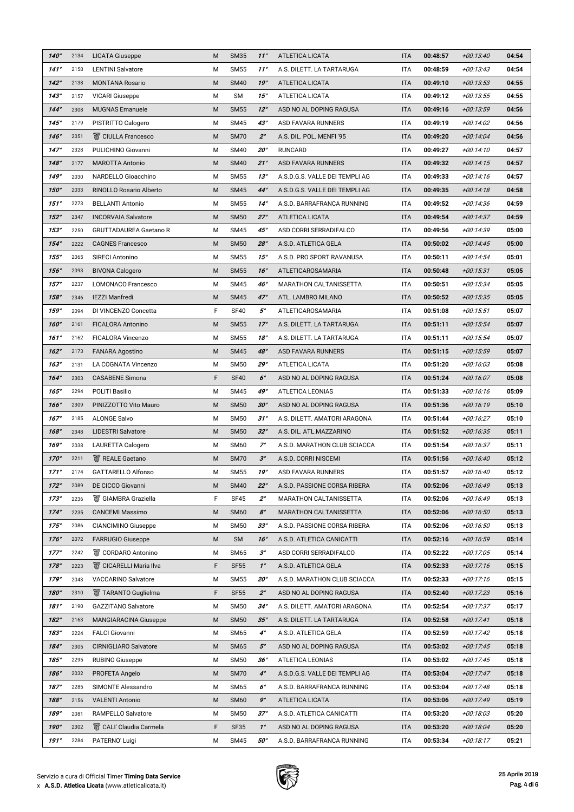| $140^\circ$ | 2134 | <b>LICATA Giuseppe</b>              | M | <b>SM35</b> | $11^\circ$   | <b>ATLETICA LICATA</b>         | <b>ITA</b> | 00:48:57 | +00:13:40   | 04:54 |
|-------------|------|-------------------------------------|---|-------------|--------------|--------------------------------|------------|----------|-------------|-------|
| 141°        | 2158 | <b>LENTINI Salvatore</b>            | М | <b>SM55</b> | $11^{\circ}$ | A.S. DILETT. LA TARTARUGA      | <b>ITA</b> | 00:48:59 | $+00:13:43$ | 04:54 |
| $142^\circ$ | 2138 | <b>MONTANA Rosario</b>              | M | <b>SM40</b> | 19°          | <b>ATLETICA LICATA</b>         | <b>ITA</b> | 00:49:10 | $+00:13:53$ | 04:55 |
| 143°        | 2157 | <b>VICARI Giuseppe</b>              | M | <b>SM</b>   | 15°          | <b>ATLETICA LICATA</b>         | <b>ITA</b> | 00:49:12 | $+00:13:55$ | 04:55 |
| $144^\circ$ | 2308 | <b>MUGNAS Emanuele</b>              | M | <b>SM55</b> | $12^\circ$   | ASD NO AL DOPING RAGUSA        | <b>ITA</b> | 00:49:16 | $+00:13:59$ | 04:56 |
| $145^\circ$ | 2179 | <b>PISTRITTO Calogero</b>           | М | <b>SM45</b> | $43^\circ$   | <b>ASD FAVARA RUNNERS</b>      | <b>ITA</b> | 00:49:19 | +00:14:02   | 04:56 |
| 146°        | 2051 | <b>窗 CIULLA Francesco</b>           | M | <b>SM70</b> | $2^{\circ}$  | A.S. DIL. POL. MENFI '95       | <b>ITA</b> | 00:49:20 | $+00:14:04$ | 04:56 |
| $147^\circ$ | 2328 | PULICHINO Giovanni                  | М | <b>SM40</b> | $20^{\circ}$ | <b>RUNCARD</b>                 | <b>ITA</b> | 00:49:27 | $+00:14:10$ | 04:57 |
| 148°        | 2177 | <b>MAROTTA Antonio</b>              | M | <b>SM40</b> | $21^\circ$   | <b>ASD FAVARA RUNNERS</b>      | <b>ITA</b> | 00:49:32 | $+00:14:15$ | 04:57 |
| 149°        | 2030 | NARDELLO Gioacchino                 | М | <b>SM55</b> | 13°          | A.S.D.G.S. VALLE DEI TEMPLI AG | <b>ITA</b> | 00:49:33 | $+00:14:16$ | 04:57 |
| $150^\circ$ | 2033 | <b>RINOLLO Rosario Alberto</b>      | M | <b>SM45</b> | $44^\circ$   | A.S.D.G.S. VALLE DEI TEMPLI AG | <b>ITA</b> | 00:49:35 | $+00:14:18$ | 04:58 |
| $151^\circ$ | 2273 | <b>BELLANTI Antonio</b>             | М | <b>SM55</b> | $14^\circ$   | A.S.D. BARRAFRANCA RUNNING     | <b>ITA</b> | 00:49:52 | $+00:14:36$ | 04:59 |
| 152°        | 2347 | <b>INCORVAIA Salvatore</b>          | M | <b>SM50</b> | $27^\circ$   | <b>ATLETICA LICATA</b>         | <b>ITA</b> | 00:49:54 | $+00:14:37$ | 04:59 |
| 153°        | 2250 | <b>GRUTTADAUREA Gaetano R</b>       | М | <b>SM45</b> | $45^\circ$   | ASD CORRI SERRADIFALCO         | <b>ITA</b> | 00:49:56 | +00:14:39   | 05:00 |
| $154^\circ$ | 2222 | <b>CAGNES Francesco</b>             | M | <b>SM50</b> | 28°          | A.S.D. ATLETICA GELA           | <b>ITA</b> | 00:50:02 | $+00:14:45$ | 05:00 |
| $155^\circ$ | 2065 | <b>SIRECI Antonino</b>              | М | <b>SM55</b> | 15°          | A.S.D. PRO SPORT RAVANUSA      | <b>ITA</b> | 00:50:11 | $+00:14:54$ | 05:01 |
| 156°        | 2093 | <b>BIVONA Calogero</b>              | M | <b>SM55</b> | 16°          | ATLETICAROSAMARIA              | <b>ITA</b> | 00:50:48 | $+00:15:31$ | 05:05 |
| $157^\circ$ | 2237 | <b>LOMONACO Francesco</b>           | M | <b>SM45</b> | 46°          | <b>MARATHON CALTANISSETTA</b>  | <b>ITA</b> | 00:50:51 | $+00:15:34$ | 05:05 |
| 158°        | 2346 | <b>IEZZI Manfredi</b>               | M | <b>SM45</b> | $47^\circ$   | ATL. LAMBRO MILANO             | <b>ITA</b> | 00:50:52 | $+00:15:35$ | 05:05 |
| 159°        | 2094 | DI VINCENZO Concetta                | F | <b>SF40</b> | $5^\circ$    | ATLETICAROSAMARIA              | <b>ITA</b> | 00:51:08 | $+00:15:51$ | 05:07 |
| $160^\circ$ | 2161 | <b>FICALORA Antonino</b>            | M | <b>SM55</b> | $17^\circ$   | A.S. DILETT. LA TARTARUGA      | <b>ITA</b> | 00:51:11 | $+00:15:54$ | 05:07 |
| 161°        | 2162 | <b>FICALORA Vincenzo</b>            | М | <b>SM55</b> | 18°          | A.S. DILETT. LA TARTARUGA      | <b>ITA</b> | 00:51:11 | $+00:15:54$ | 05:07 |
| $162^\circ$ | 2173 | <b>FANARA Agostino</b>              | M | <b>SM45</b> | 48°          | <b>ASD FAVARA RUNNERS</b>      | <b>ITA</b> | 00:51:15 | $+00:15:59$ | 05:07 |
| 163°        | 2131 | <b>LA COGNATA Vincenzo</b>          | М | <b>SM50</b> | 29°          | <b>ATLETICA LICATA</b>         | <b>ITA</b> | 00:51:20 | +00:16:03   | 05:08 |
| $164^\circ$ | 2303 | <b>CASABENE Simona</b>              | F | <b>SF40</b> | $6^\circ$    | ASD NO AL DOPING RAGUSA        | <b>ITA</b> | 00:51:24 | $+00:16:07$ | 05:08 |
| $165^\circ$ | 2294 | <b>POLITI Basilio</b>               | Μ | <b>SM45</b> | 49°          | <b>ATLETICA LEONIAS</b>        | <b>ITA</b> | 00:51:33 | $+00:16:16$ | 05:09 |
| 166°        | 2309 | PINIZZOTTO Vito Mauro               | M | <b>SM50</b> | $30^\circ$   | ASD NO AL DOPING RAGUSA        | <b>ITA</b> | 00:51:36 | $+00:16:19$ | 05:10 |
| $167^\circ$ | 2185 | <b>ALONGE Salvo</b>                 | М | <b>SM50</b> | 31°          | A.S. DILETT. AMATORI ARAGONA   | <b>ITA</b> | 00:51:44 | $+00:16:27$ | 05:10 |
| 168°        | 2348 | <b>LIDESTRI Salvatore</b>           | M | <b>SM50</b> | $32^\circ$   | A.S. DIL. ATL.MAZZARINO        | <b>ITA</b> | 00:51:52 | $+00:16:35$ | 05:11 |
| 169°        | 2038 | <b>LAURETTA Calogero</b>            | М | <b>SM60</b> | $7^\circ$    | A.S.D. MARATHON CLUB SCIACCA   | <b>ITA</b> | 00:51:54 | $+00:16:37$ | 05:11 |
| $170^\circ$ | 2211 | <b>&amp;</b> REALE Gaetano          | M | <b>SM70</b> | $3^\circ$    | A.S.D. CORRI NISCEMI           | <b>ITA</b> | 00:51:56 | $+00:16:40$ | 05:12 |
| $171^\circ$ | 2174 | <b>GATTARELLO Alfonso</b>           | M | <b>SM55</b> | 19°          | ASD FAVARA RUNNERS             | <b>ITA</b> | 00:51:57 | +00:16:40   | 05:12 |
| $172^\circ$ | 2089 | <b>DE CICCO Giovanni</b>            | M | <b>SM40</b> | $22^\circ$   | A.S.D. PASSIONE CORSA RIBERA   | <b>ITA</b> | 00:52:06 | $+00:16:49$ | 05:13 |
| $173^\circ$ | 2236 | <b>■ GIAMBRA Graziella</b>          | F | <b>SF45</b> | $2^{\circ}$  | <b>MARATHON CALTANISSETTA</b>  | <b>ITA</b> | 00:52:06 | $+00:16:49$ | 05:13 |
| $174^\circ$ | 2235 | <b>CANCEMI Massimo</b>              | M | <b>SM60</b> | $8^\circ$    | <b>MARATHON CALTANISSETTA</b>  | <b>ITA</b> | 00:52:06 | $+00:16:50$ | 05:13 |
| $175^\circ$ | 2086 | <b>CIANCIMINO Giuseppe</b>          | M | <b>SM50</b> | $33^\circ$   | A.S.D. PASSIONE CORSA RIBERA   | <b>ITA</b> | 00:52:06 | +00:16:50   | 05:13 |
| $176^\circ$ | 2072 | <b>FARRUGIO Giuseppe</b>            | M | <b>SM</b>   | 16°          | A.S.D. ATLETICA CANICATTI      | <b>ITA</b> | 00:52:16 | $+00:16:59$ | 05:14 |
| $177^\circ$ | 2242 | <b>图 CORDARO Antonino</b>           | M | <b>SM65</b> | $3^\circ$    | ASD CORRI SERRADIFALCO         | <b>ITA</b> | 00:52:22 | +00:17:05   | 05:14 |
| 178°        | 2223 | <b>W</b> CICARELLI Maria Ilva       | F | <b>SF55</b> | $1^\circ$    | A.S.D. ATLETICA GELA           | <b>ITA</b> | 00:52:33 | $+00:17:16$ | 05:15 |
| $179^\circ$ | 2043 | <b>VACCARINO Salvatore</b>          | М | <b>SM55</b> | $20^{\circ}$ | A.S.D. MARATHON CLUB SCIACCA   | <b>ITA</b> | 00:52:33 | $+00:17:16$ | 05:15 |
| 180°        | 2310 | <b>W</b> TARANTO Guglielma          | F | <b>SF55</b> | $2^{\circ}$  | ASD NO AL DOPING RAGUSA        | <b>ITA</b> | 00:52:40 | $+00:17:23$ | 05:16 |
| 181°        | 2190 | <b>GAZZITANO Salvatore</b>          | М | <b>SM50</b> | $34^\circ$   | A.S. DILETT. AMATORI ARAGONA   | <b>ITA</b> | 00:52:54 | +00:17:37   | 05:17 |
| $182^\circ$ | 2163 | <b>MANGIARACINA Giuseppe</b>        | M | <b>SM50</b> | $35^\circ$   | A.S. DILETT. LA TARTARUGA      | <b>ITA</b> | 00:52:58 | $+00:17:41$ | 05:18 |
| 183°        | 2224 | <b>FALCI Giovanni</b>               | М | <b>SM65</b> | $4^\circ$    | A.S.D. ATLETICA GELA           | <b>ITA</b> | 00:52:59 | +00:17:42   | 05:18 |
| $184^\circ$ | 2305 | <b>CIRNIGLIARO Salvatore</b>        | M | <b>SM65</b> | $5^\circ$    | ASD NO AL DOPING RAGUSA        | <b>ITA</b> | 00:53:02 | $+00:17:45$ | 05:18 |
| $185^\circ$ | 2295 | <b>RUBINO Giuseppe</b>              | М | <b>SM50</b> | 36°          | <b>ATLETICA LEONIAS</b>        | <b>ITA</b> | 00:53:02 | +00:17:45   | 05:18 |
| 186°        | 2032 | PROFETA Angelo                      | M | <b>SM70</b> | $4^\circ$    | A.S.D.G.S. VALLE DEI TEMPLI AG | <b>ITA</b> | 00:53:04 | $+00:17:47$ | 05:18 |
| $187^\circ$ | 2285 | <b>SIMONTE Alessandro</b>           | M | <b>SM65</b> | $6^\circ$    | A.S.D. BARRAFRANCA RUNNING     | <b>ITA</b> | 00:53:04 | +00:17:48   | 05:18 |
| 188°        | 2156 | <b>VALENTI Antonio</b>              | M | <b>SM60</b> | $9^\circ$    | <b>ATLETICA LICATA</b>         | <b>ITA</b> | 00:53:06 | $+00:17:49$ | 05:19 |
| 189°        | 2081 | <b>RAMPELLO Salvatore</b>           | M | <b>SM50</b> | $37^\circ$   | A.S.D. ATLETICA CANICATTI      | <b>ITA</b> | 00:53:20 | +00:18:03   | 05:20 |
| $190^\circ$ | 2302 | <b>&amp; CALI</b> ' Claudia Carmela | F | <b>SF35</b> | $1^{\circ}$  | ASD NO AL DOPING RAGUSA        | <b>ITA</b> | 00:53:20 | +00:18:04   | 05:20 |
| 191°        | 2284 | PATERNO' Luigi                      | M | <b>SM45</b> | 50°          | A.S.D. BARRAFRANCA RUNNING     | <b>ITA</b> | 00:53:34 | $+00:18:17$ | 05:21 |

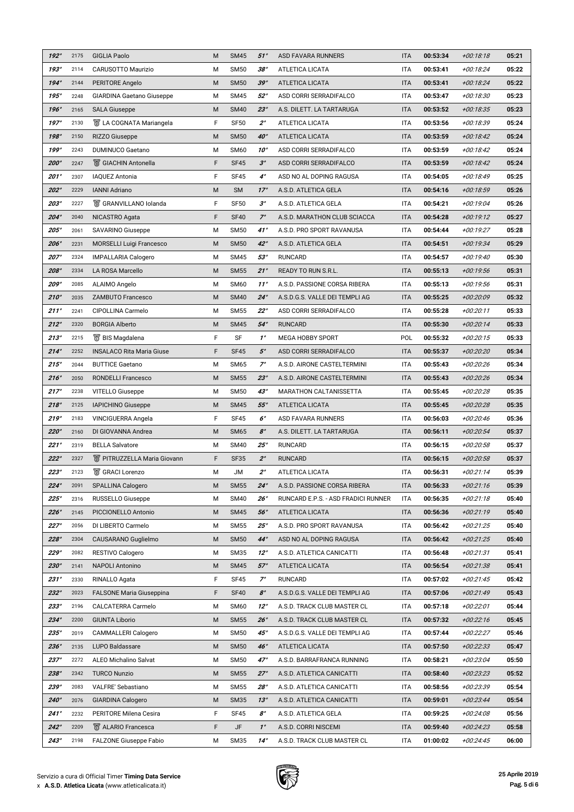| $192^\circ$ | 2175 | <b>GIGLIA Paolo</b>                | M           | <b>SM45</b> | 51°                   | <b>ASD FAVARA RUNNERS</b>                  | <b>ITA</b> | 00:53:34 | $+00:18:18$ | 05:21 |
|-------------|------|------------------------------------|-------------|-------------|-----------------------|--------------------------------------------|------------|----------|-------------|-------|
| 193°        | 2114 | <b>CARUSOTTO Maurizio</b>          | M           | <b>SM50</b> | 38°                   | <b>ATLETICA LICATA</b>                     | <b>ITA</b> | 00:53:41 | +00:18:24   | 05:22 |
| $194^\circ$ | 2144 | PERITORE Angelo                    | M           | <b>SM50</b> | 39°                   | <b>ATLETICA LICATA</b>                     | <b>ITA</b> | 00:53:41 | $+00:18:24$ | 05:22 |
| $195^\circ$ | 2248 | <b>GIARDINA Gaetano Giuseppe</b>   | M           | <b>SM45</b> | $52^{\circ}$          | ASD CORRI SERRADIFALCO                     | <b>ITA</b> | 00:53:47 | +00:18:30   | 05:23 |
| 196°        | 2165 | <b>SALA Giuseppe</b>               | M           | <b>SM40</b> | $23^\circ$            | A.S. DILETT. LA TARTARUGA                  | <b>ITA</b> | 00:53:52 | +00:18:35   | 05:23 |
| $197^\circ$ | 2130 | ■ LA COGNATA Mariangela            | F           | <b>SF50</b> | $2^{\circ}$           | <b>ATLETICA LICATA</b>                     | <b>ITA</b> | 00:53:56 | +00:18:39   | 05:24 |
| 198°        | 2150 | <b>RIZZO Giuseppe</b>              | M           | <b>SM50</b> | $40^\circ$            | <b>ATLETICA LICATA</b>                     | <b>ITA</b> | 00:53:59 | $+00:18:42$ | 05:24 |
| 199°        | 2243 | <b>DUMINUCO Gaetano</b>            | M           | <b>SM60</b> | $10^{\circ}$          | ASD CORRI SERRADIFALCO                     | <b>ITA</b> | 00:53:59 | +00:18:42   | 05:24 |
| 200°        | 2247 | ■ GIACHIN Antonella                | F           | <b>SF45</b> | $3^\circ$             | ASD CORRI SERRADIFALCO                     | <b>ITA</b> | 00:53:59 | $+00:18:42$ | 05:24 |
| 201°        | 2307 | <b>IAQUEZ Antonia</b>              | F           | <b>SF45</b> | $4^\circ$             | ASD NO AL DOPING RAGUSA                    | <b>ITA</b> | 00:54:05 | +00:18:49   | 05:25 |
| 202°        | 2229 | <b>IANNI Adriano</b>               | M           | <b>SM</b>   | $17^\circ$            | A.S.D. ATLETICA GELA                       | <b>ITA</b> | 00:54:16 | $+00:18:59$ | 05:26 |
| 203°        | 2227 | S GRANVILLANO Iolanda              | F           | <b>SF50</b> | $3^\circ$             | A.S.D. ATLETICA GELA                       | <b>ITA</b> | 00:54:21 | +00:19:04   | 05:26 |
| $204^\circ$ | 2040 | NICASTRO Agata                     | F           | <b>SF40</b> | $7^\circ$             | A.S.D. MARATHON CLUB SCIACCA               | <b>ITA</b> | 00:54:28 | $+00:19:12$ | 05:27 |
| $205^\circ$ | 2061 | <b>SAVARINO Giuseppe</b>           | M           | <b>SM50</b> | $41^\circ$            | A.S.D. PRO SPORT RAVANUSA                  | <b>ITA</b> | 00:54:44 | $+00:19:27$ | 05:28 |
| 206°        | 2231 | <b>MORSELLI Luigi Francesco</b>    | M           | <b>SM50</b> | $42^\circ$            | A.S.D. ATLETICA GELA                       | <b>ITA</b> | 00:54:51 | $+00:19:34$ | 05:29 |
| $207^\circ$ | 2324 | <b>IMPALLARIA Calogero</b>         | М           | <b>SM45</b> | 53°                   | <b>RUNCARD</b>                             | <b>ITA</b> | 00:54:57 | +00:19:40   | 05:30 |
| 208°        | 2334 | <b>LA ROSA Marcello</b>            | M           | <b>SM55</b> | $21^\circ$            | <b>READY TO RUN S.R.L.</b>                 | <b>ITA</b> | 00:55:13 | $+00:19:56$ | 05:31 |
| 209°        | 2085 | ALAIMO Angelo                      | M           | <b>SM60</b> | $11^\circ$            | A.S.D. PASSIONE CORSA RIBERA               | <b>ITA</b> | 00:55:13 | +00:19:56   | 05:31 |
| $210^\circ$ | 2035 | <b>ZAMBUTO Francesco</b>           | M           | <b>SM40</b> | $24^\circ$            | A.S.D.G.S. VALLE DEI TEMPLI AG             | <b>ITA</b> | 00:55:25 | +00:20:09   | 05:32 |
| 211°        | 2241 | <b>CIPOLLINA Carmelo</b>           | M           | <b>SM55</b> | $22^{\circ}$          | ASD CORRI SERRADIFALCO                     | <b>ITA</b> | 00:55:28 | $+00:20:11$ | 05:33 |
| 212°        | 2320 | <b>BORGIA Alberto</b>              | M           | <b>SM45</b> | $54^\circ$            | <b>RUNCARD</b>                             | <b>ITA</b> | 00:55:30 | $+00:20:14$ | 05:33 |
| 213°        | 2215 | ■ BIS Magdalena                    | F           | <b>SF</b>   | $1^{\circ}$           | <b>MEGA HOBBY SPORT</b>                    | POL        | 00:55:32 | $+00:20:15$ | 05:33 |
| $214^\circ$ | 2252 | <b>INSALACO Rita Maria Giuse</b>   | F           | <b>SF45</b> | $5^\circ$             | ASD CORRI SERRADIFALCO                     | <b>ITA</b> | 00:55:37 | +00:20:20   | 05:34 |
| 215°        | 2044 | <b>BUTTICE Gaetano</b>             | M           | <b>SM65</b> | $7^\circ$             | A.S.D. AIRONE CASTELTERMINI                | <b>ITA</b> | 00:55:43 | +00:20:26   | 05:34 |
| 216°        | 2050 | <b>RONDELLI Francesco</b>          | M           | <b>SM55</b> | $23^\circ$            | A.S.D. AIRONE CASTELTERMINI                | <b>ITA</b> | 00:55:43 | +00:20:26   | 05:34 |
| $217^\circ$ | 2238 | <b>VITELLO Giuseppe</b>            | M           | <b>SM50</b> | $43^\circ$            | <b>MARATHON CALTANISSETTA</b>              | <b>ITA</b> | 00:55:45 | +00:20:28   | 05:35 |
| 218°        | 2125 | <b>IAPICHINO Giuseppe</b>          | M           | <b>SM45</b> | 55°                   | <b>ATLETICA LICATA</b>                     | <b>ITA</b> | 00:55:45 | +00:20:28   | 05:35 |
| 219°        | 2183 | <b>VINCIGUERRA Angela</b>          | F           | <b>SF45</b> | $6^\circ$             | <b>ASD FAVARA RUNNERS</b>                  | <b>ITA</b> | 00:56:03 | +00:20:46   | 05:36 |
| $220^\circ$ | 2160 | DI GIOVANNA Andrea                 | M           | <b>SM65</b> | $8^\circ$             | A.S. DILETT. LA TARTARUGA                  | <b>ITA</b> | 00:56:11 | +00:20:54   | 05:37 |
| 221°        | 2319 | <b>BELLA Salvatore</b>             | M           | <b>SM40</b> | $25^\circ$            | <b>RUNCARD</b>                             | <b>ITA</b> | 00:56:15 | +00:20:58   | 05:37 |
| 222°        | 2327 | <b>W</b> PITRUZZELLA Maria Giovann | F           | <b>SF35</b> | $2^{\circ}$           | <b>RUNCARD</b>                             | <b>ITA</b> | 00:56:15 | +00:20:58   | 05:37 |
| 223°        | 2123 | <b>■ GRACI Lorenzo</b>             | М           | <b>JM</b>   | $2^{\circ}$           | <b>ATLETICA LICATA</b>                     | <b>ITA</b> | 00:56:31 | $+00:21:14$ | 05:39 |
| $224^\circ$ | 2091 | <b>SPALLINA Calogero</b>           | M           | <b>SM55</b> | $24^\circ$            | A.S.D. PASSIONE CORSA RIBERA               | <b>ITA</b> | 00:56:33 | $+00:21:16$ | 05:39 |
| $225^\circ$ | 2316 | <b>RUSSELLO Giuseppe</b>           | M           | <b>SM40</b> | 26°                   | <b>RUNCARD E.P.S. - ASD FRADICI RUNNER</b> | <b>ITA</b> | 00:56:35 | $+00:21:18$ | 05:40 |
| 226°        | 2145 | PICCIONELLO Antonio                | M           | <b>SM45</b> | 56°                   | <b>ATLETICA LICATA</b>                     | <b>ITA</b> | 00:56:36 | $+00:21:19$ | 05:40 |
| $227^\circ$ | 2056 | DI LIBERTO Carmelo                 | M           | <b>SM55</b> | $25^\circ$            | A.S.D. PRO SPORT RAVANUSA                  | <b>ITA</b> | 00:56:42 | $+00:21:25$ | 05:40 |
| 228°        | 2304 | CAUSARANO Guglielmo                | M           | <b>SM50</b> | $44^\circ$            | ASD NO AL DOPING RAGUSA                    | <b>ITA</b> | 00:56:42 | $+00:21:25$ | 05:40 |
| 229°        | 2082 | RESTIVO Calogero                   | M           | <b>SM35</b> | $12^{\circ}$          | A.S.D. ATLETICA CANICATTI                  | <b>ITA</b> | 00:56:48 | $+00:21:31$ | 05:41 |
| 230°        | 2141 | <b>NAPOLI Antonino</b>             | M           | <b>SM45</b> | $57^\circ$            | <b>ATLETICA LICATA</b>                     | <b>ITA</b> | 00:56:54 | $+00:21:38$ | 05:41 |
| 231°        | 2330 | <b>RINALLO Agata</b>               | F           | <b>SF45</b> | $7^\circ$             | <b>RUNCARD</b>                             | <b>ITA</b> | 00:57:02 | $+00:21:45$ | 05:42 |
| $232^\circ$ | 2023 | <b>FALSONE Maria Giuseppina</b>    | F           | <b>SF40</b> | $\mathcal{S}^{\circ}$ | A.S.D.G.S. VALLE DEI TEMPLI AG             | <b>ITA</b> | 00:57:06 | $+00:21:49$ | 05:43 |
| 233°        | 2196 | <b>CALCATERRA Carmelo</b>          | М           | <b>SM60</b> | $12^{\circ}$          | A.S.D. TRACK CLUB MASTER CL                | <b>ITA</b> | 00:57:18 | +00:22:01   | 05:44 |
| $234^\circ$ | 2200 | <b>GIUNTA Liborio</b>              | M           | <b>SM55</b> | 26°                   | A.S.D. TRACK CLUB MASTER CL                | <b>ITA</b> | 00:57:32 | $+00:22:16$ | 05:45 |
| $235^\circ$ | 2019 | <b>CAMMALLERI Calogero</b>         | М           | <b>SM50</b> | $45^\circ$            | A.S.D.G.S. VALLE DEI TEMPLI AG             | <b>ITA</b> | 00:57:44 | +00:22:27   | 05:46 |
| 236°        | 2135 | LUPO Baldassare                    | M           | <b>SM50</b> | 46°                   | <b>ATLETICA LICATA</b>                     | <b>ITA</b> | 00:57:50 | +00:22:33   | 05:47 |
| $237^\circ$ | 2272 | <b>ALEO Michalino Salvat</b>       | М           | <b>SM50</b> | $47^\circ$            | A.S.D. BARRAFRANCA RUNNING                 | <b>ITA</b> | 00:58:21 | +00:23:04   | 05:50 |
| 238°        | 2342 | <b>TURCO Nunzio</b>                | M           | <b>SM55</b> | $27^\circ$            | A.S.D. ATLETICA CANICATTI                  | <b>ITA</b> | 00:58:40 | +00:23:23   | 05:52 |
| 239°        | 2083 | <b>VALFRE' Sebastiano</b>          | M           | <b>SM55</b> | 28°                   | A.S.D. ATLETICA CANICATTI                  | <b>ITA</b> | 00:58:56 | +00:23:39   | 05:54 |
| $240^\circ$ | 2076 | <b>GIARDINA Calogero</b>           | M           | <b>SM35</b> | 13°                   | A.S.D. ATLETICA CANICATTI                  | <b>ITA</b> | 00:59:01 | +00:23:44   | 05:54 |
| $241^\circ$ | 2232 | <b>PERITORE Milena Cesira</b>      | F           | <b>SF45</b> | $\mathcal{S}^{\circ}$ | A.S.D. ATLETICA GELA                       | <b>ITA</b> | 00:59:25 | +00:24:08   | 05:56 |
| $242^\circ$ | 2209 | <b>&amp; ALARIO Francesca</b>      | $\mathsf F$ | <b>JF</b>   | $1^\circ$             | A.S.D. CORRI NISCEMI                       | <b>ITA</b> | 00:59:40 | +00:24:23   | 05:58 |
| $243^\circ$ | 2198 | <b>FALZONE Giuseppe Fabio</b>      | M           | <b>SM35</b> | $14^\circ$            | A.S.D. TRACK CLUB MASTER CL                | <b>ITA</b> | 01:00:02 | $+00.24.45$ | 06:00 |